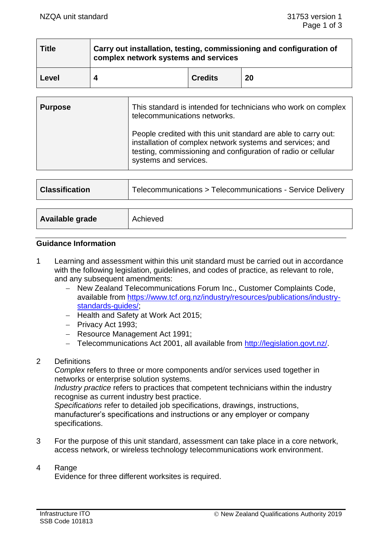| <b>Title</b> | Carry out installation, testing, commissioning and configuration of<br>complex network systems and services |                |    |
|--------------|-------------------------------------------------------------------------------------------------------------|----------------|----|
| Level        |                                                                                                             | <b>Credits</b> | 20 |

| <b>Purpose</b> | This standard is intended for technicians who work on complex<br>telecommunications networks.                                                                                                                         |  |
|----------------|-----------------------------------------------------------------------------------------------------------------------------------------------------------------------------------------------------------------------|--|
|                | People credited with this unit standard are able to carry out:<br>installation of complex network systems and services; and<br>testing, commissioning and configuration of radio or cellular<br>systems and services. |  |
|                |                                                                                                                                                                                                                       |  |

| <b>Classification</b> | Telecommunications > Telecommunications - Service Delivery |
|-----------------------|------------------------------------------------------------|
|                       |                                                            |
| Available grade       | Achieved                                                   |

#### **Guidance Information**

- 1 Learning and assessment within this unit standard must be carried out in accordance with the following legislation, guidelines, and codes of practice, as relevant to role, and any subsequent amendments:
	- − New Zealand Telecommunications Forum Inc., Customer Complaints Code, available from [https://www.tcf.org.nz/industry/resources/publications/industry](https://www.tcf.org.nz/industry/resources/publications/industry-standards-guides/)[standards-guides/;](https://www.tcf.org.nz/industry/resources/publications/industry-standards-guides/)
	- − Health and Safety at Work Act 2015;
	- − Privacy Act 1993;
	- − Resource Management Act 1991;
	- − Telecommunications Act 2001, all available from [http://legislation.govt.nz/.](http://legislation.govt.nz/)

# 2 Definitions

*Complex* refers to three or more components and/or services used together in networks or enterprise solution systems.

*Industry practice* refers to practices that competent technicians within the industry recognise as current industry best practice.

*Specifications* refer to detailed job specifications, drawings, instructions, manufacturer's specifications and instructions or any employer or company specifications.

3 For the purpose of this unit standard, assessment can take place in a core network, access network, or wireless technology telecommunications work environment.

#### 4 Range

Evidence for three different worksites is required.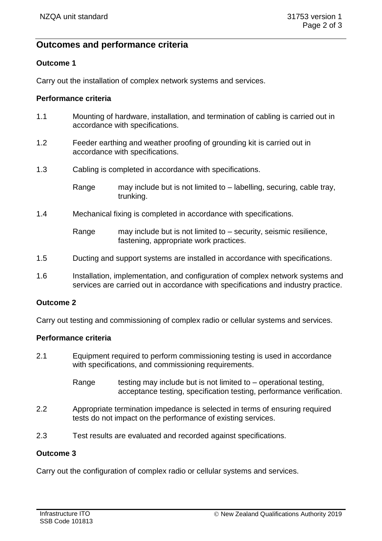# **Outcomes and performance criteria**

# **Outcome 1**

Carry out the installation of complex network systems and services.

#### **Performance criteria**

- 1.1 Mounting of hardware, installation, and termination of cabling is carried out in accordance with specifications.
- 1.2 Feeder earthing and weather proofing of grounding kit is carried out in accordance with specifications.
- 1.3 Cabling is completed in accordance with specifications.

Range may include but is not limited to – labelling, securing, cable tray, trunking.

1.4 Mechanical fixing is completed in accordance with specifications.

Range may include but is not limited to – security, seismic resilience, fastening, appropriate work practices.

- 1.5 Ducting and support systems are installed in accordance with specifications.
- 1.6 Installation, implementation, and configuration of complex network systems and services are carried out in accordance with specifications and industry practice.

# **Outcome 2**

Carry out testing and commissioning of complex radio or cellular systems and services.

# **Performance criteria**

- 2.1 Equipment required to perform commissioning testing is used in accordance with specifications, and commissioning requirements.
	- Range testing may include but is not limited to  $-$  operational testing, acceptance testing, specification testing, performance verification.
- 2.2 Appropriate termination impedance is selected in terms of ensuring required tests do not impact on the performance of existing services.
- 2.3 Test results are evaluated and recorded against specifications.

# **Outcome 3**

Carry out the configuration of complex radio or cellular systems and services.